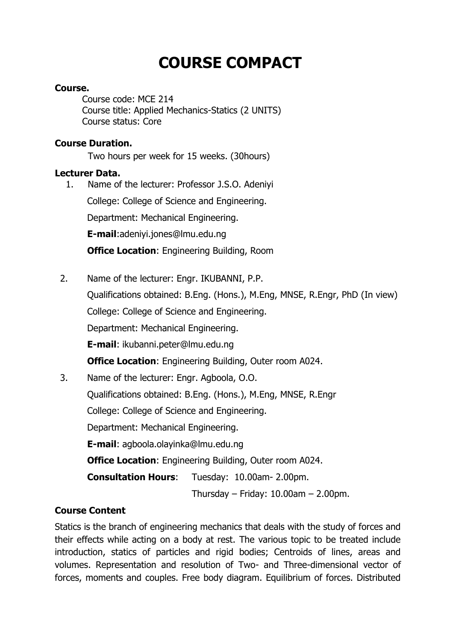# **COURSE COMPACT**

# **Course.**

Course code: MCE 214 Course title: Applied Mechanics-Statics (2 UNITS) Course status: Core

# **Course Duration.**

Two hours per week for 15 weeks. (30hours)

#### **Lecturer Data.**

 1. Name of the lecturer: Professor J.S.O. Adeniyi College: College of Science and Engineering. Department: Mechanical Engineering. **E-mail**:adeniyi.jones@lmu.edu.ng **Office Location**: Engineering Building, Room

2. Name of the lecturer: Engr. IKUBANNI, P.P.

Qualifications obtained: B.Eng. (Hons.), M.Eng, MNSE, R.Engr, PhD (In view)

College: College of Science and Engineering.

Department: Mechanical Engineering.

**E-mail**: ikubanni.peter@lmu.edu.ng

**Office Location:** Engineering Building, Outer room A024.

3. Name of the lecturer: Engr. Agboola, O.O.

Qualifications obtained: B.Eng. (Hons.), M.Eng, MNSE, R.Engr

College: College of Science and Engineering.

Department: Mechanical Engineering.

**E-mail**: agboola.olayinka@lmu.edu.ng

**Office Location**: Engineering Building, Outer room A024.

**Consultation Hours**: Tuesday: 10.00am- 2.00pm.

Thursday – Friday:  $10.00$ am –  $2.00$ pm.

# **Course Content**

Statics is the branch of engineering mechanics that deals with the study of forces and their effects while acting on a body at rest. The various topic to be treated include introduction, statics of particles and rigid bodies; Centroids of lines, areas and volumes. Representation and resolution of Two- and Three-dimensional vector of forces, moments and couples. Free body diagram. Equilibrium of forces. Distributed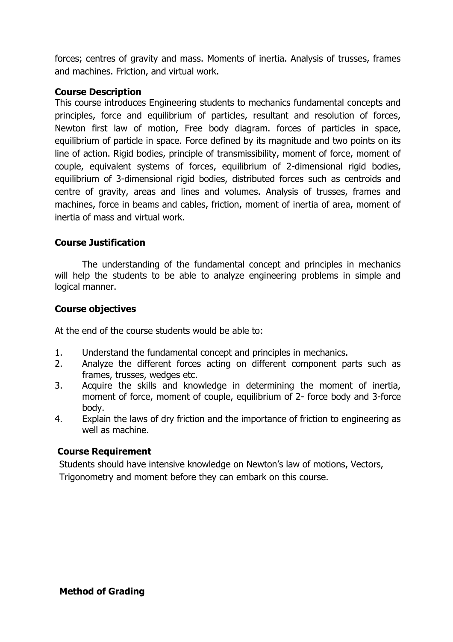forces; centres of gravity and mass. Moments of inertia. Analysis of trusses, frames and machines. Friction, and virtual work.

#### **Course Description**

This course introduces Engineering students to mechanics fundamental concepts and principles, force and equilibrium of particles, resultant and resolution of forces, Newton first law of motion, Free body diagram. forces of particles in space, equilibrium of particle in space. Force defined by its magnitude and two points on its line of action. Rigid bodies, principle of transmissibility, moment of force, moment of couple, equivalent systems of forces, equilibrium of 2-dimensional rigid bodies, equilibrium of 3-dimensional rigid bodies, distributed forces such as centroids and centre of gravity, areas and lines and volumes. Analysis of trusses, frames and machines, force in beams and cables, friction, moment of inertia of area, moment of inertia of mass and virtual work.

# **Course Justification**

The understanding of the fundamental concept and principles in mechanics will help the students to be able to analyze engineering problems in simple and logical manner.

# **Course objectives**

At the end of the course students would be able to:

- 1. Understand the fundamental concept and principles in mechanics.
- 2. Analyze the different forces acting on different component parts such as frames, trusses, wedges etc.
- 3. Acquire the skills and knowledge in determining the moment of inertia, moment of force, moment of couple, equilibrium of 2- force body and 3-force body.
- 4. Explain the laws of dry friction and the importance of friction to engineering as well as machine.

#### **Course Requirement**

Students should have intensive knowledge on Newton's law of motions, Vectors, Trigonometry and moment before they can embark on this course.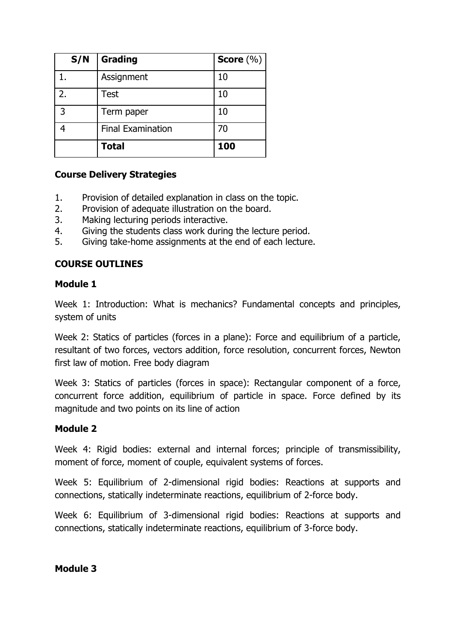| S/N          | <b>Grading</b>           | Score $(\% )$ |
|--------------|--------------------------|---------------|
|              | Assignment               | 10            |
| 2.           | <b>Test</b>              | 10            |
| $\mathbf{R}$ | Term paper               | 10            |
|              | <b>Final Examination</b> | 70            |
|              | <b>Total</b>             | 100           |

# **Course Delivery Strategies**

- 1. Provision of detailed explanation in class on the topic.
- 2. Provision of adequate illustration on the board.
- 3. Making lecturing periods interactive.
- 4. Giving the students class work during the lecture period.
- 5. Giving take-home assignments at the end of each lecture.

# **COURSE OUTLINES**

#### **Module 1**

Week 1: Introduction: What is mechanics? Fundamental concepts and principles, system of units

Week 2: Statics of particles (forces in a plane): Force and equilibrium of a particle, resultant of two forces, vectors addition, force resolution, concurrent forces, Newton first law of motion. Free body diagram

Week 3: Statics of particles (forces in space): Rectangular component of a force, concurrent force addition, equilibrium of particle in space. Force defined by its magnitude and two points on its line of action

#### **Module 2**

Week 4: Rigid bodies: external and internal forces; principle of transmissibility, moment of force, moment of couple, equivalent systems of forces.

Week 5: Equilibrium of 2-dimensional rigid bodies: Reactions at supports and connections, statically indeterminate reactions, equilibrium of 2-force body.

Week 6: Equilibrium of 3-dimensional rigid bodies: Reactions at supports and connections, statically indeterminate reactions, equilibrium of 3-force body.

**Module 3**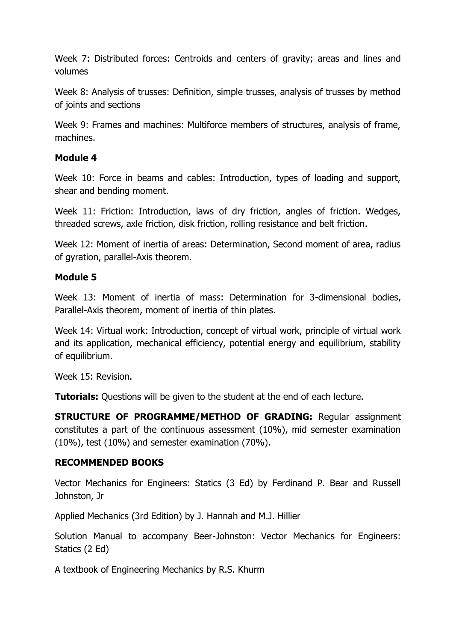Week 7: Distributed forces: Centroids and centers of gravity; areas and lines and volumes

Week 8: Analysis of trusses: Definition, simple trusses, analysis of trusses by method of joints and sections

Week 9: Frames and machines: Multiforce members of structures, analysis of frame, machines.

#### **Module 4**

Week 10: Force in beams and cables: Introduction, types of loading and support, shear and bending moment.

Week 11: Friction: Introduction, laws of dry friction, angles of friction. Wedges, threaded screws, axle friction, disk friction, rolling resistance and belt friction.

Week 12: Moment of inertia of areas: Determination, Second moment of area, radius of gyration, parallel-Axis theorem.

# **Module 5**

Week 13: Moment of inertia of mass: Determination for 3-dimensional bodies, Parallel-Axis theorem, moment of inertia of thin plates.

Week 14: Virtual work: Introduction, concept of virtual work, principle of virtual work and its application, mechanical efficiency, potential energy and equilibrium, stability of equilibrium.

Week 15: Revision.

**Tutorials:** Questions will be given to the student at the end of each lecture.

**STRUCTURE OF PROGRAMME/METHOD OF GRADING:** Regular assignment constitutes a part of the continuous assessment (10%), mid semester examination (10%), test (10%) and semester examination (70%).

# **RECOMMENDED BOOKS**

Vector Mechanics for Engineers: Statics (3 Ed) by Ferdinand P. Bear and Russell Johnston, Jr

Applied Mechanics (3rd Edition) by J. Hannah and M.J. Hillier

Solution Manual to accompany Beer-Johnston: Vector Mechanics for Engineers: Statics (2 Ed)

A textbook of Engineering Mechanics by R.S. Khurm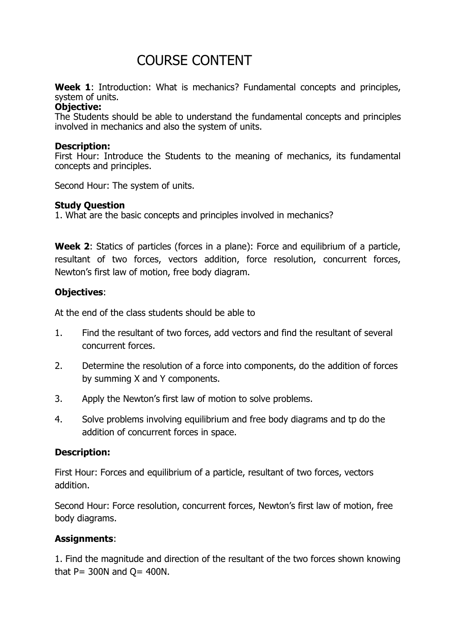# COURSE CONTENT

Week 1: Introduction: What is mechanics? Fundamental concepts and principles, system of units.

#### **Objective:**

The Students should be able to understand the fundamental concepts and principles involved in mechanics and also the system of units.

#### **Description:**

First Hour: Introduce the Students to the meaning of mechanics, its fundamental concepts and principles.

Second Hour: The system of units.

#### **Study Question**

1. What are the basic concepts and principles involved in mechanics?

**Week 2**: Statics of particles (forces in a plane): Force and equilibrium of a particle, resultant of two forces, vectors addition, force resolution, concurrent forces, Newton's first law of motion, free body diagram.

#### **Objectives**:

At the end of the class students should be able to

- 1. Find the resultant of two forces, add vectors and find the resultant of several concurrent forces.
- 2. Determine the resolution of a force into components, do the addition of forces by summing X and Y components.
- 3. Apply the Newton's first law of motion to solve problems.
- 4. Solve problems involving equilibrium and free body diagrams and tp do the addition of concurrent forces in space.

#### **Description:**

First Hour: Forces and equilibrium of a particle, resultant of two forces, vectors addition.

Second Hour: Force resolution, concurrent forces, Newton's first law of motion, free body diagrams.

#### **Assignments**:

1. Find the magnitude and direction of the resultant of the two forces shown knowing that  $P = 300N$  and  $Q = 400N$ .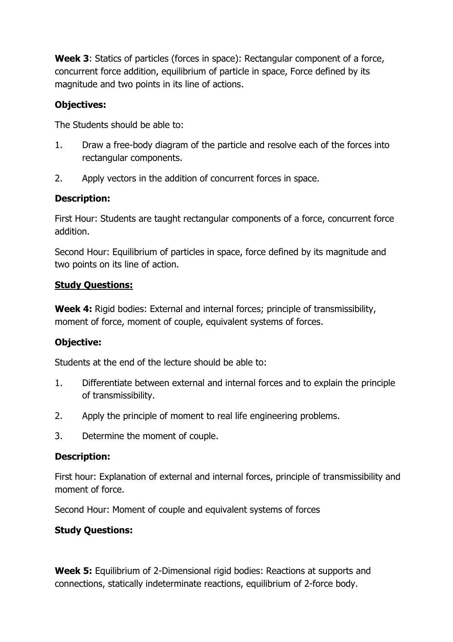**Week 3**: Statics of particles (forces in space): Rectangular component of a force, concurrent force addition, equilibrium of particle in space, Force defined by its magnitude and two points in its line of actions.

# **Objectives:**

The Students should be able to:

- 1. Draw a free-body diagram of the particle and resolve each of the forces into rectangular components.
- 2. Apply vectors in the addition of concurrent forces in space.

# **Description:**

First Hour: Students are taught rectangular components of a force, concurrent force addition.

Second Hour: Equilibrium of particles in space, force defined by its magnitude and two points on its line of action.

#### **Study Questions:**

**Week 4:** Rigid bodies: External and internal forces; principle of transmissibility, moment of force, moment of couple, equivalent systems of forces.

# **Objective:**

Students at the end of the lecture should be able to:

- 1. Differentiate between external and internal forces and to explain the principle of transmissibility.
- 2. Apply the principle of moment to real life engineering problems.
- 3. Determine the moment of couple.

#### **Description:**

First hour: Explanation of external and internal forces, principle of transmissibility and moment of force.

Second Hour: Moment of couple and equivalent systems of forces

# **Study Questions:**

**Week 5:** Equilibrium of 2-Dimensional rigid bodies: Reactions at supports and connections, statically indeterminate reactions, equilibrium of 2-force body.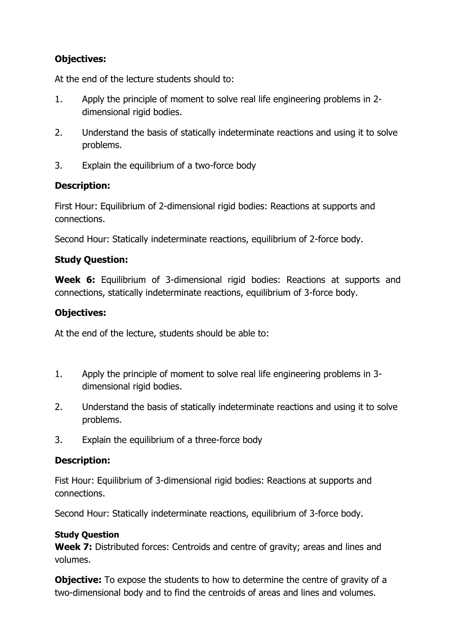# **Objectives:**

At the end of the lecture students should to:

- 1. Apply the principle of moment to solve real life engineering problems in 2 dimensional rigid bodies.
- 2. Understand the basis of statically indeterminate reactions and using it to solve problems.
- 3. Explain the equilibrium of a two-force body

# **Description:**

First Hour: Equilibrium of 2-dimensional rigid bodies: Reactions at supports and connections.

Second Hour: Statically indeterminate reactions, equilibrium of 2-force body.

# **Study Question:**

**Week 6:** Equilibrium of 3-dimensional rigid bodies: Reactions at supports and connections, statically indeterminate reactions, equilibrium of 3-force body.

# **Objectives:**

At the end of the lecture, students should be able to:

- 1. Apply the principle of moment to solve real life engineering problems in 3 dimensional rigid bodies.
- 2. Understand the basis of statically indeterminate reactions and using it to solve problems.
- 3. Explain the equilibrium of a three-force body

# **Description:**

Fist Hour: Equilibrium of 3-dimensional rigid bodies: Reactions at supports and connections.

Second Hour: Statically indeterminate reactions, equilibrium of 3-force body.

#### **Study Question**

**Week 7:** Distributed forces: Centroids and centre of gravity; areas and lines and volumes.

**Objective:** To expose the students to how to determine the centre of gravity of a two-dimensional body and to find the centroids of areas and lines and volumes.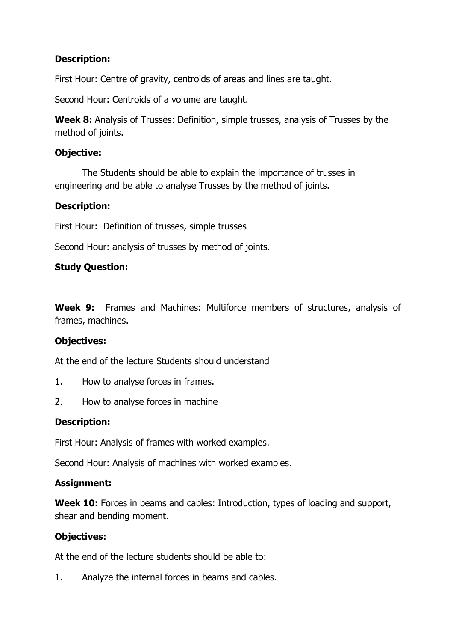# **Description:**

First Hour: Centre of gravity, centroids of areas and lines are taught.

Second Hour: Centroids of a volume are taught.

**Week 8:** Analysis of Trusses: Definition, simple trusses, analysis of Trusses by the method of joints.

# **Objective:**

The Students should be able to explain the importance of trusses in engineering and be able to analyse Trusses by the method of joints.

# **Description:**

First Hour: Definition of trusses, simple trusses

Second Hour: analysis of trusses by method of joints.

# **Study Question:**

**Week 9:** Frames and Machines: Multiforce members of structures, analysis of frames, machines.

#### **Objectives:**

At the end of the lecture Students should understand

- 1. How to analyse forces in frames.
- 2. How to analyse forces in machine

# **Description:**

First Hour: Analysis of frames with worked examples.

Second Hour: Analysis of machines with worked examples.

#### **Assignment:**

**Week 10:** Forces in beams and cables: Introduction, types of loading and support, shear and bending moment.

# **Objectives:**

At the end of the lecture students should be able to:

1. Analyze the internal forces in beams and cables.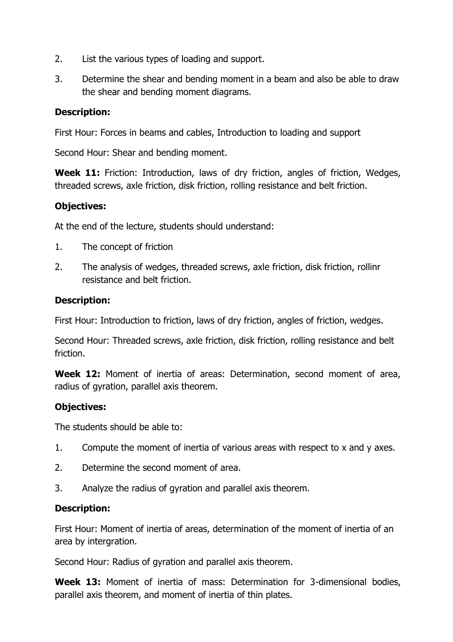- 2. List the various types of loading and support.
- 3. Determine the shear and bending moment in a beam and also be able to draw the shear and bending moment diagrams.

#### **Description:**

First Hour: Forces in beams and cables, Introduction to loading and support

Second Hour: Shear and bending moment.

**Week 11:** Friction: Introduction, laws of dry friction, angles of friction, Wedges, threaded screws, axle friction, disk friction, rolling resistance and belt friction.

# **Objectives:**

At the end of the lecture, students should understand:

- 1. The concept of friction
- 2. The analysis of wedges, threaded screws, axle friction, disk friction, rollinr resistance and belt friction.

#### **Description:**

First Hour: Introduction to friction, laws of dry friction, angles of friction, wedges.

Second Hour: Threaded screws, axle friction, disk friction, rolling resistance and belt friction.

**Week 12:** Moment of inertia of areas: Determination, second moment of area, radius of gyration, parallel axis theorem.

#### **Objectives:**

The students should be able to:

- 1. Compute the moment of inertia of various areas with respect to x and y axes.
- 2. Determine the second moment of area.
- 3. Analyze the radius of gyration and parallel axis theorem.

#### **Description:**

First Hour: Moment of inertia of areas, determination of the moment of inertia of an area by intergration.

Second Hour: Radius of gyration and parallel axis theorem.

**Week 13:** Moment of inertia of mass: Determination for 3-dimensional bodies, parallel axis theorem, and moment of inertia of thin plates.